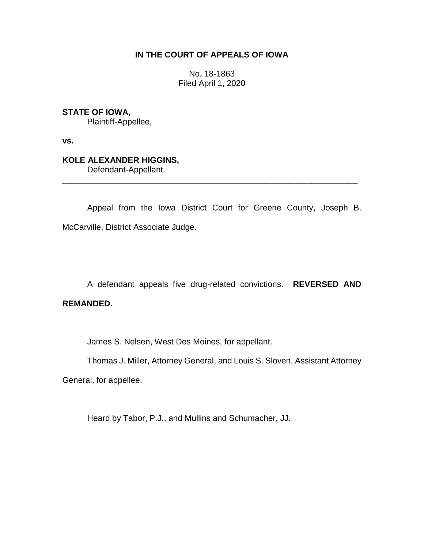## **IN THE COURT OF APPEALS OF IOWA**

No. 18-1863 Filed April 1, 2020

**STATE OF IOWA,**

Plaintiff-Appellee,

**vs.**

# **KOLE ALEXANDER HIGGINS,**

Defendant-Appellant.

Appeal from the Iowa District Court for Greene County, Joseph B. McCarville, District Associate Judge.

\_\_\_\_\_\_\_\_\_\_\_\_\_\_\_\_\_\_\_\_\_\_\_\_\_\_\_\_\_\_\_\_\_\_\_\_\_\_\_\_\_\_\_\_\_\_\_\_\_\_\_\_\_\_\_\_\_\_\_\_\_\_\_\_

A defendant appeals five drug-related convictions. **REVERSED AND REMANDED.**

James S. Nelsen, West Des Moines, for appellant.

Thomas J. Miller, Attorney General, and Louis S. Sloven, Assistant Attorney

General, for appellee.

Heard by Tabor, P.J., and Mullins and Schumacher, JJ.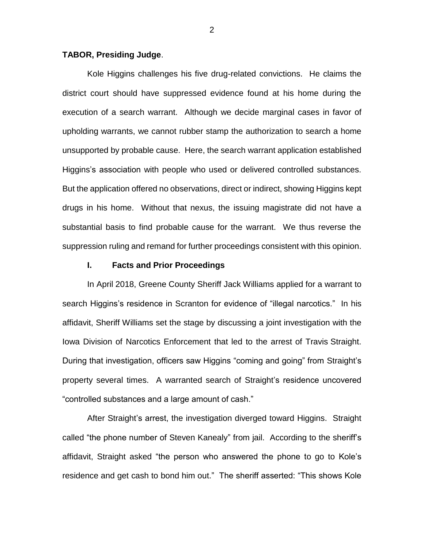#### **TABOR, Presiding Judge**.

Kole Higgins challenges his five drug-related convictions. He claims the district court should have suppressed evidence found at his home during the execution of a search warrant. Although we decide marginal cases in favor of upholding warrants, we cannot rubber stamp the authorization to search a home unsupported by probable cause. Here, the search warrant application established Higgins's association with people who used or delivered controlled substances. But the application offered no observations, direct or indirect, showing Higgins kept drugs in his home. Without that nexus, the issuing magistrate did not have a substantial basis to find probable cause for the warrant. We thus reverse the suppression ruling and remand for further proceedings consistent with this opinion.

#### **I. Facts and Prior Proceedings**

In April 2018, Greene County Sheriff Jack Williams applied for a warrant to search Higgins's residence in Scranton for evidence of "illegal narcotics." In his affidavit, Sheriff Williams set the stage by discussing a joint investigation with the Iowa Division of Narcotics Enforcement that led to the arrest of Travis Straight. During that investigation, officers saw Higgins "coming and going" from Straight's property several times. A warranted search of Straight's residence uncovered "controlled substances and a large amount of cash."

After Straight's arrest, the investigation diverged toward Higgins. Straight called "the phone number of Steven Kanealy" from jail. According to the sheriff's affidavit, Straight asked "the person who answered the phone to go to Kole's residence and get cash to bond him out." The sheriff asserted: "This shows Kole

2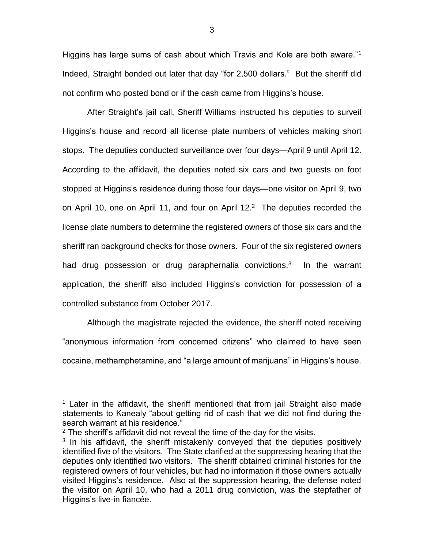Higgins has large sums of cash about which Travis and Kole are both aware."<sup>1</sup> Indeed, Straight bonded out later that day "for 2,500 dollars." But the sheriff did not confirm who posted bond or if the cash came from Higgins's house.

After Straight's jail call, Sheriff Williams instructed his deputies to surveil Higgins's house and record all license plate numbers of vehicles making short stops. The deputies conducted surveillance over four days—April 9 until April 12. According to the affidavit, the deputies noted six cars and two guests on foot stopped at Higgins's residence during those four days—one visitor on April 9, two on April 10, one on April 11, and four on April  $12<sup>2</sup>$  The deputies recorded the license plate numbers to determine the registered owners of those six cars and the sheriff ran background checks for those owners. Four of the six registered owners had drug possession or drug paraphernalia convictions.<sup>3</sup> In the warrant application, the sheriff also included Higgins's conviction for possession of a controlled substance from October 2017.

Although the magistrate rejected the evidence, the sheriff noted receiving "anonymous information from concerned citizens" who claimed to have seen cocaine, methamphetamine, and "a large amount of marijuana" in Higgins's house.

<sup>1</sup> Later in the affidavit, the sheriff mentioned that from jail Straight also made statements to Kanealy "about getting rid of cash that we did not find during the search warrant at his residence."

 $2$  The sheriff's affidavit did not reveal the time of the day for the visits.

 $3$  In his affidavit, the sheriff mistakenly conveyed that the deputies positively identified five of the visitors. The State clarified at the suppressing hearing that the deputies only identified two visitors. The sheriff obtained criminal histories for the registered owners of four vehicles, but had no information if those owners actually visited Higgins's residence. Also at the suppression hearing, the defense noted the visitor on April 10, who had a 2011 drug conviction, was the stepfather of Higgins's live-in fiancée.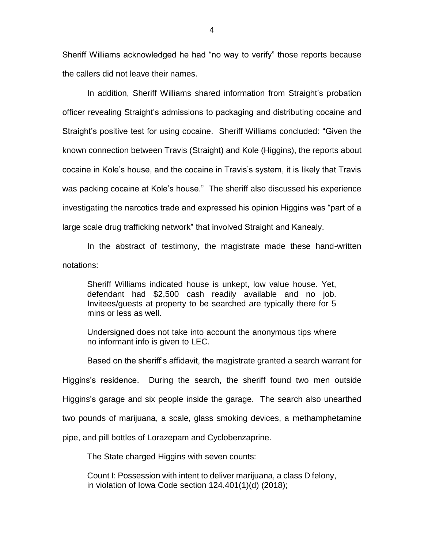Sheriff Williams acknowledged he had "no way to verify" those reports because the callers did not leave their names.

In addition, Sheriff Williams shared information from Straight's probation officer revealing Straight's admissions to packaging and distributing cocaine and Straight's positive test for using cocaine. Sheriff Williams concluded: "Given the known connection between Travis (Straight) and Kole (Higgins), the reports about cocaine in Kole's house, and the cocaine in Travis's system, it is likely that Travis was packing cocaine at Kole's house." The sheriff also discussed his experience investigating the narcotics trade and expressed his opinion Higgins was "part of a large scale drug trafficking network" that involved Straight and Kanealy.

In the abstract of testimony, the magistrate made these hand-written notations:

Sheriff Williams indicated house is unkept, low value house. Yet, defendant had \$2,500 cash readily available and no job. Invitees/guests at property to be searched are typically there for 5 mins or less as well.

Undersigned does not take into account the anonymous tips where no informant info is given to LEC.

Based on the sheriff's affidavit, the magistrate granted a search warrant for Higgins's residence. During the search, the sheriff found two men outside Higgins's garage and six people inside the garage. The search also unearthed two pounds of marijuana, a scale, glass smoking devices, a methamphetamine pipe, and pill bottles of Lorazepam and Cyclobenzaprine.

The State charged Higgins with seven counts:

Count I: Possession with intent to deliver marijuana, a class D felony, in violation of Iowa Code section 124.401(1)(d) (2018);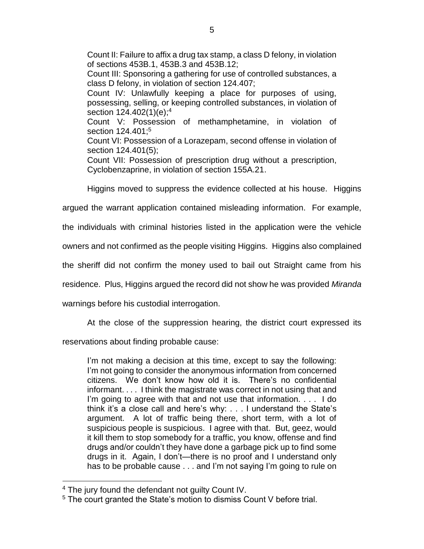Count II: Failure to affix a drug tax stamp, a class D felony, in violation of sections 453B.1, 453B.3 and 453B.12; Count III: Sponsoring a gathering for use of controlled substances, a class D felony, in violation of section 124.407; Count IV: Unlawfully keeping a place for purposes of using, possessing, selling, or keeping controlled substances, in violation of section 124.402(1)(e);<sup>4</sup> Count V: Possession of methamphetamine, in violation of section 124.401:<sup>5</sup> Count VI: Possession of a Lorazepam, second offense in violation of section 124.401(5); Count VII: Possession of prescription drug without a prescription, Cyclobenzaprine, in violation of section 155A.21.

Higgins moved to suppress the evidence collected at his house. Higgins

argued the warrant application contained misleading information. For example,

the individuals with criminal histories listed in the application were the vehicle

owners and not confirmed as the people visiting Higgins. Higgins also complained

the sheriff did not confirm the money used to bail out Straight came from his

residence. Plus, Higgins argued the record did not show he was provided *Miranda*

warnings before his custodial interrogation.

At the close of the suppression hearing, the district court expressed its

reservations about finding probable cause:

I'm not making a decision at this time, except to say the following: I'm not going to consider the anonymous information from concerned citizens. We don't know how old it is. There's no confidential informant. . . . I think the magistrate was correct in not using that and I'm going to agree with that and not use that information. . . . I do think it's a close call and here's why: . . . I understand the State's argument. A lot of traffic being there, short term, with a lot of suspicious people is suspicious. I agree with that. But, geez, would it kill them to stop somebody for a traffic, you know, offense and find drugs and/or couldn't they have done a garbage pick up to find some drugs in it. Again, I don't—there is no proof and I understand only has to be probable cause . . . and I'm not saying I'm going to rule on

<sup>&</sup>lt;sup>4</sup> The jury found the defendant not quilty Count IV.

<sup>5</sup> The court granted the State's motion to dismiss Count V before trial.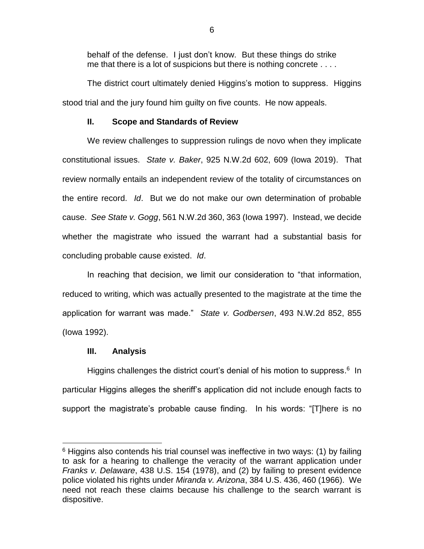behalf of the defense. I just don't know. But these things do strike me that there is a lot of suspicions but there is nothing concrete . . . .

The district court ultimately denied Higgins's motion to suppress. Higgins stood trial and the jury found him guilty on five counts. He now appeals.

## **II. Scope and Standards of Review**

We review challenges to suppression rulings de novo when they implicate constitutional issues. *State v. Baker*, 925 N.W.2d 602, 609 (Iowa 2019). That review normally entails an independent review of the totality of circumstances on the entire record. *Id*. But we do not make our own determination of probable cause. *See State v. Gogg*, 561 N.W.2d 360, 363 (Iowa 1997). Instead, we decide whether the magistrate who issued the warrant had a substantial basis for concluding probable cause existed. *Id*.

In reaching that decision, we limit our consideration to "that information, reduced to writing, which was actually presented to the magistrate at the time the application for warrant was made." *State v. Godbersen*, 493 N.W.2d 852, 855 (Iowa 1992).

### **III. Analysis**

 $\overline{a}$ 

Higgins challenges the district court's denial of his motion to suppress.<sup>6</sup> In particular Higgins alleges the sheriff's application did not include enough facts to support the magistrate's probable cause finding. In his words: "[T]here is no

 $6$  Higgins also contends his trial counsel was ineffective in two ways: (1) by failing to ask for a hearing to challenge the veracity of the warrant application under *Franks v. Delaware*, 438 U.S. 154 (1978), and (2) by failing to present evidence police violated his rights under *Miranda v. Arizona*, 384 U.S. 436, 460 (1966). We need not reach these claims because his challenge to the search warrant is dispositive.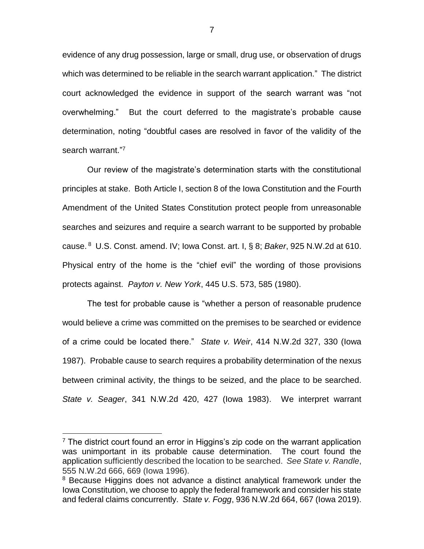evidence of any drug possession, large or small, drug use, or observation of drugs which was determined to be reliable in the search warrant application." The district court acknowledged the evidence in support of the search warrant was "not overwhelming." But the court deferred to the magistrate's probable cause determination, noting "doubtful cases are resolved in favor of the validity of the search warrant."7

Our review of the magistrate's determination starts with the constitutional principles at stake. Both Article I, section 8 of the Iowa Constitution and the Fourth Amendment of the United States Constitution protect people from unreasonable searches and seizures and require a search warrant to be supported by probable cause. <sup>8</sup> U.S. Const. amend. IV; Iowa Const. art. I, § 8; *Baker*, 925 N.W.2d at 610. Physical entry of the home is the "chief evil" the wording of those provisions protects against. *Payton v. New York*, 445 U.S. 573, 585 (1980).

The test for probable cause is "whether a person of reasonable prudence would believe a crime was committed on the premises to be searched or evidence of a crime could be located there." *State v. Weir*, 414 N.W.2d 327, 330 (Iowa 1987). Probable cause to search requires a probability determination of the nexus between criminal activity, the things to be seized, and the place to be searched. *State v. Seager*, 341 N.W.2d 420, 427 (Iowa 1983). We interpret warrant

 $<sup>7</sup>$  The district court found an error in Higgins's zip code on the warrant application</sup> was unimportant in its probable cause determination. The court found the application sufficiently described the location to be searched. *See State v. Randle*, 555 N.W.2d 666, 669 (Iowa 1996).

<sup>&</sup>lt;sup>8</sup> Because Higgins does not advance a distinct analytical framework under the Iowa Constitution, we choose to apply the federal framework and consider his state and federal claims concurrently. *State v. Fogg*, 936 N.W.2d 664, 667 (Iowa 2019).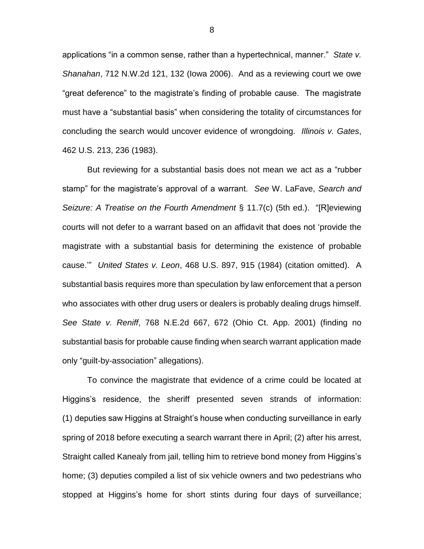applications "in a common sense, rather than a hypertechnical, manner." *State v. Shanahan*, 712 N.W.2d 121, 132 (Iowa 2006). And as a reviewing court we owe "great deference" to the magistrate's finding of probable cause. The magistrate must have a "substantial basis" when considering the totality of circumstances for concluding the search would uncover evidence of wrongdoing. *Illinois v. Gates*, 462 U.S. 213, 236 (1983).

But reviewing for a substantial basis does not mean we act as a "rubber stamp" for the magistrate's approval of a warrant. *See* W. LaFave, *Search and Seizure: A Treatise on the Fourth Amendment* § 11.7(c) (5th ed.). "[R]eviewing courts will not defer to a warrant based on an affidavit that does not 'provide the magistrate with a substantial basis for determining the existence of probable cause.'" *United States v. Leon*, 468 U.S. 897, 915 (1984) (citation omitted). A substantial basis requires more than speculation by law enforcement that a person who associates with other drug users or dealers is probably dealing drugs himself. *See State v. Reniff*, 768 N.E.2d 667, 672 (Ohio Ct. App. 2001) (finding no substantial basis for probable cause finding when search warrant application made only "guilt-by-association" allegations).

To convince the magistrate that evidence of a crime could be located at Higgins's residence, the sheriff presented seven strands of information: (1) deputies saw Higgins at Straight's house when conducting surveillance in early spring of 2018 before executing a search warrant there in April; (2) after his arrest, Straight called Kanealy from jail, telling him to retrieve bond money from Higgins's home; (3) deputies compiled a list of six vehicle owners and two pedestrians who stopped at Higgins's home for short stints during four days of surveillance;

8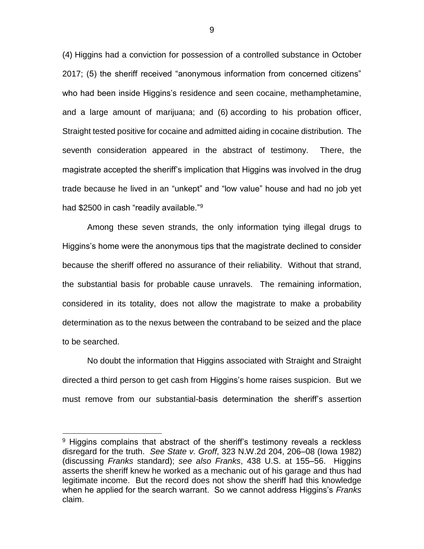(4) Higgins had a conviction for possession of a controlled substance in October 2017; (5) the sheriff received "anonymous information from concerned citizens" who had been inside Higgins's residence and seen cocaine, methamphetamine, and a large amount of marijuana; and (6) according to his probation officer, Straight tested positive for cocaine and admitted aiding in cocaine distribution. The seventh consideration appeared in the abstract of testimony. There, the magistrate accepted the sheriff's implication that Higgins was involved in the drug trade because he lived in an "unkept" and "low value" house and had no job yet had \$2500 in cash "readily available."<sup>9</sup>

Among these seven strands, the only information tying illegal drugs to Higgins's home were the anonymous tips that the magistrate declined to consider because the sheriff offered no assurance of their reliability. Without that strand, the substantial basis for probable cause unravels. The remaining information, considered in its totality, does not allow the magistrate to make a probability determination as to the nexus between the contraband to be seized and the place to be searched.

No doubt the information that Higgins associated with Straight and Straight directed a third person to get cash from Higgins's home raises suspicion. But we must remove from our substantial-basis determination the sheriff's assertion

 $\overline{a}$ 

9

 $9$  Higgins complains that abstract of the sheriff's testimony reveals a reckless disregard for the truth. *See State v. Groff*, 323 N.W.2d 204, 206–08 (Iowa 1982) (discussing *Franks* standard); *see also Franks*, 438 U.S. at 155–56. Higgins asserts the sheriff knew he worked as a mechanic out of his garage and thus had legitimate income. But the record does not show the sheriff had this knowledge when he applied for the search warrant. So we cannot address Higgins's *Franks* claim.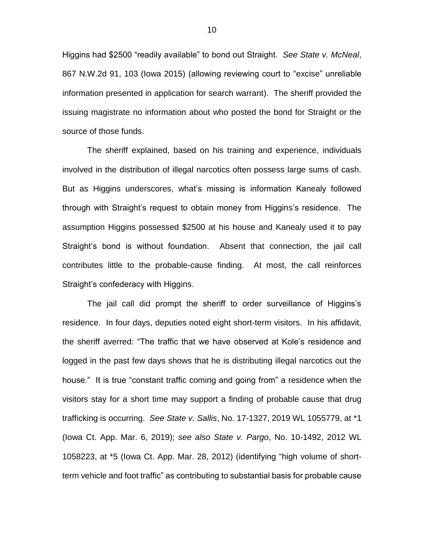Higgins had \$2500 "readily available" to bond out Straight. *See State v. McNeal*, 867 N.W.2d 91, 103 (Iowa 2015) (allowing reviewing court to "excise" unreliable information presented in application for search warrant). The sheriff provided the issuing magistrate no information about who posted the bond for Straight or the source of those funds.

The sheriff explained, based on his training and experience, individuals involved in the distribution of illegal narcotics often possess large sums of cash. But as Higgins underscores, what's missing is information Kanealy followed through with Straight's request to obtain money from Higgins's residence. The assumption Higgins possessed \$2500 at his house and Kanealy used it to pay Straight's bond is without foundation. Absent that connection, the jail call contributes little to the probable-cause finding. At most, the call reinforces Straight's confederacy with Higgins.

The jail call did prompt the sheriff to order surveillance of Higgins's residence. In four days, deputies noted eight short-term visitors. In his affidavit, the sheriff averred: "The traffic that we have observed at Kole's residence and logged in the past few days shows that he is distributing illegal narcotics out the house." It is true "constant traffic coming and going from" a residence when the visitors stay for a short time may support a finding of probable cause that drug trafficking is occurring. *See State v. Sallis*, No. 17-1327, 2019 WL 1055779, at \*1 (Iowa Ct. App. Mar. 6, 2019); *see also State v. Pargo*, No. 10-1492, 2012 WL 1058223, at \*5 (Iowa Ct. App. Mar. 28, 2012) (identifying "high volume of shortterm vehicle and foot traffic" as contributing to substantial basis for probable cause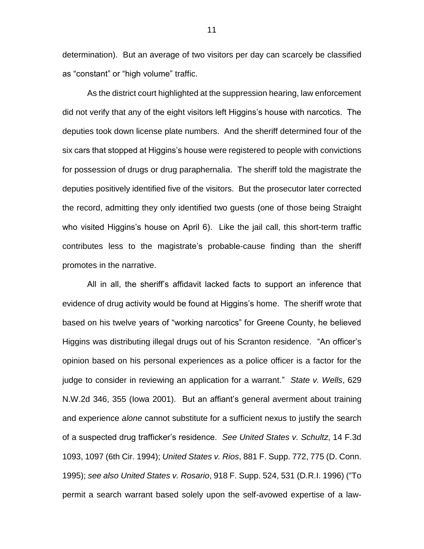determination). But an average of two visitors per day can scarcely be classified as "constant" or "high volume" traffic.

As the district court highlighted at the suppression hearing, law enforcement did not verify that any of the eight visitors left Higgins's house with narcotics. The deputies took down license plate numbers. And the sheriff determined four of the six cars that stopped at Higgins's house were registered to people with convictions for possession of drugs or drug paraphernalia. The sheriff told the magistrate the deputies positively identified five of the visitors. But the prosecutor later corrected the record, admitting they only identified two guests (one of those being Straight who visited Higgins's house on April 6). Like the jail call, this short-term traffic contributes less to the magistrate's probable-cause finding than the sheriff promotes in the narrative.

All in all, the sheriff's affidavit lacked facts to support an inference that evidence of drug activity would be found at Higgins's home. The sheriff wrote that based on his twelve years of "working narcotics" for Greene County, he believed Higgins was distributing illegal drugs out of his Scranton residence. "An officer's opinion based on his personal experiences as a police officer is a factor for the judge to consider in reviewing an application for a warrant." *State v. Wells*, 629 N.W.2d 346, 355 (Iowa 2001). But an affiant's general averment about training and experience *alone* cannot substitute for a sufficient nexus to justify the search of a suspected drug trafficker's residence. *See United States v. Schultz*, 14 F.3d 1093, 1097 (6th Cir. 1994); *United States v. Rios*, 881 F. Supp. 772, 775 (D. Conn. 1995); *see also United States v. Rosario*, 918 F. Supp. 524, 531 (D.R.I. 1996) ("To permit a search warrant based solely upon the self-avowed expertise of a law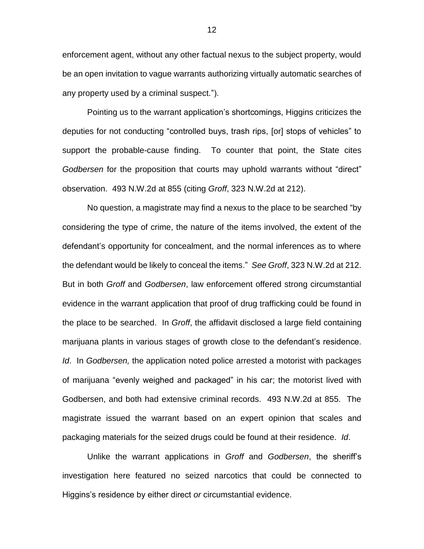enforcement agent, without any other factual nexus to the subject property, would be an open invitation to vague warrants authorizing virtually automatic searches of any property used by a criminal suspect.").

Pointing us to the warrant application's shortcomings, Higgins criticizes the deputies for not conducting "controlled buys, trash rips, [or] stops of vehicles" to support the probable-cause finding. To counter that point, the State cites *Godbersen* for the proposition that courts may uphold warrants without "direct" observation. 493 N.W.2d at 855 (citing *Groff*, 323 N.W.2d at 212).

No question, a magistrate may find a nexus to the place to be searched "by considering the type of crime, the nature of the items involved, the extent of the defendant's opportunity for concealment, and the normal inferences as to where the defendant would be likely to conceal the items." *See Groff*, 323 N.W.2d at 212. But in both *Groff* and *Godbersen*, law enforcement offered strong circumstantial evidence in the warrant application that proof of drug trafficking could be found in the place to be searched. In *Groff*, the affidavit disclosed a large field containing marijuana plants in various stages of growth close to the defendant's residence. *Id*. In *Godbersen,* the application noted police arrested a motorist with packages of marijuana "evenly weighed and packaged" in his car; the motorist lived with Godbersen, and both had extensive criminal records. 493 N.W.2d at 855. The magistrate issued the warrant based on an expert opinion that scales and packaging materials for the seized drugs could be found at their residence. *Id*.

Unlike the warrant applications in *Groff* and *Godbersen*, the sheriff's investigation here featured no seized narcotics that could be connected to Higgins's residence by either direct *or* circumstantial evidence.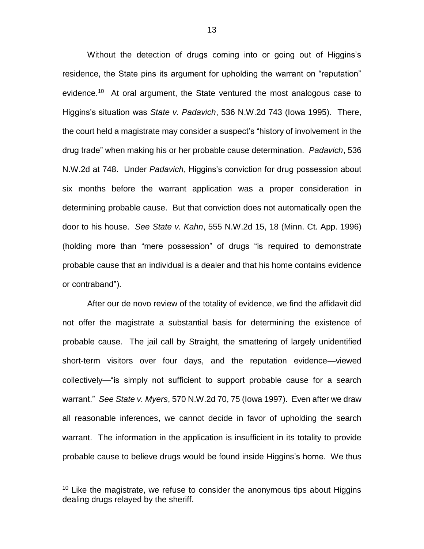Without the detection of drugs coming into or going out of Higgins's residence, the State pins its argument for upholding the warrant on "reputation" evidence.<sup>10</sup> At oral argument, the State ventured the most analogous case to Higgins's situation was *State v. Padavich*, 536 N.W.2d 743 (Iowa 1995). There, the court held a magistrate may consider a suspect's "history of involvement in the drug trade" when making his or her probable cause determination. *Padavich*, 536 N.W.2d at 748. Under *Padavich*, Higgins's conviction for drug possession about six months before the warrant application was a proper consideration in determining probable cause. But that conviction does not automatically open the door to his house. *See State v. Kahn*, 555 N.W.2d 15, 18 (Minn. Ct. App. 1996) (holding more than "mere possession" of drugs "is required to demonstrate probable cause that an individual is a dealer and that his home contains evidence or contraband").

After our de novo review of the totality of evidence, we find the affidavit did not offer the magistrate a substantial basis for determining the existence of probable cause. The jail call by Straight, the smattering of largely unidentified short-term visitors over four days, and the reputation evidence—viewed collectively—"is simply not sufficient to support probable cause for a search warrant." *See State v. Myers*, 570 N.W.2d 70, 75 (Iowa 1997). Even after we draw all reasonable inferences, we cannot decide in favor of upholding the search warrant. The information in the application is insufficient in its totality to provide probable cause to believe drugs would be found inside Higgins's home. We thus

 $10$  Like the magistrate, we refuse to consider the anonymous tips about Higgins dealing drugs relayed by the sheriff.